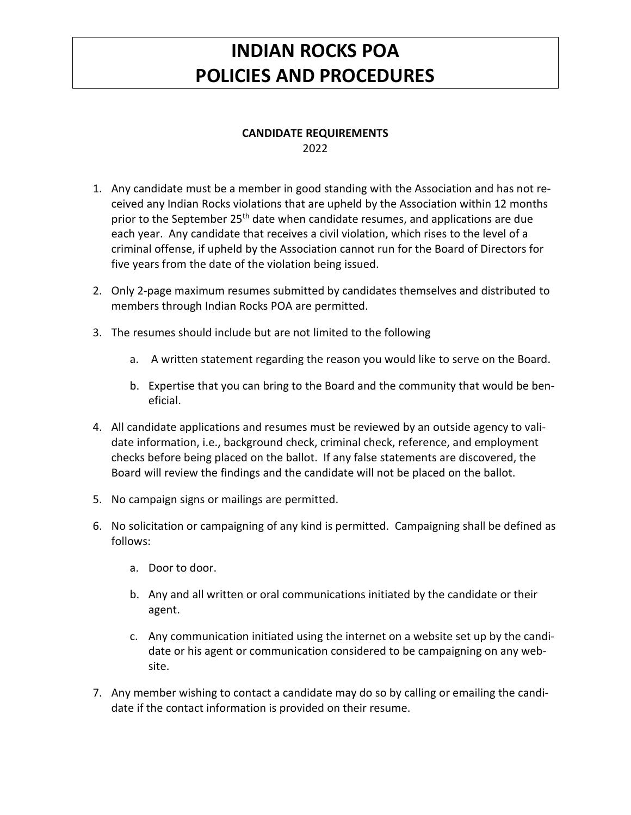## **INDIAN ROCKS POA POLICIES AND PROCEDURES**

## **CANDIDATE REQUIREMENTS** 2022

- 1. Any candidate must be a member in good standing with the Association and has not received any Indian Rocks violations that are upheld by the Association within 12 months prior to the September 25<sup>th</sup> date when candidate resumes, and applications are due each year. Any candidate that receives a civil violation, which rises to the level of a criminal offense, if upheld by the Association cannot run for the Board of Directors for five years from the date of the violation being issued.
- 2. Only 2-page maximum resumes submitted by candidates themselves and distributed to members through Indian Rocks POA are permitted.
- 3. The resumes should include but are not limited to the following
	- a. A written statement regarding the reason you would like to serve on the Board.
	- b. Expertise that you can bring to the Board and the community that would be beneficial.
- 4. All candidate applications and resumes must be reviewed by an outside agency to validate information, i.e., background check, criminal check, reference, and employment checks before being placed on the ballot. If any false statements are discovered, the Board will review the findings and the candidate will not be placed on the ballot.
- 5. No campaign signs or mailings are permitted.
- 6. No solicitation or campaigning of any kind is permitted. Campaigning shall be defined as follows:
	- a. Door to door.
	- b. Any and all written or oral communications initiated by the candidate or their agent.
	- c. Any communication initiated using the internet on a website set up by the candidate or his agent or communication considered to be campaigning on any website.
- 7. Any member wishing to contact a candidate may do so by calling or emailing the candidate if the contact information is provided on their resume.